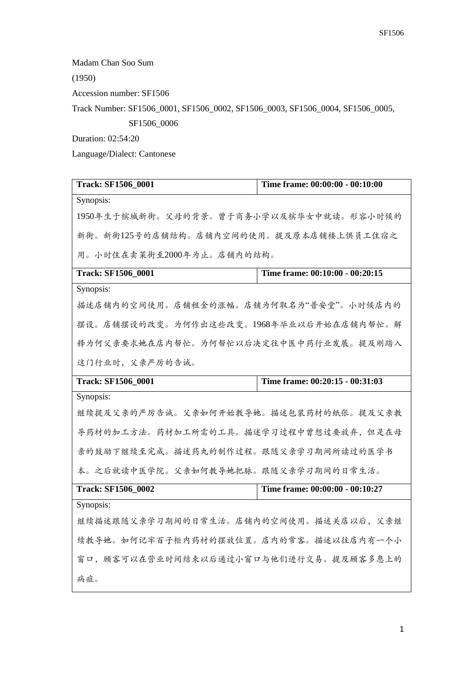Madam Chan Soo Sum

(1950)

Accession number: SF1506

Track Number: SF1506\_0001, SF1506\_0002, SF1506\_0003, SF1506\_0004, SF1506\_0005,

SF1506\_0006

Duration: 02:54:20

Language/Dialect: Cantonese

| <b>Track: SF1506_0001</b>               | Time frame: 00:00:00 - 00:10:00 |  |
|-----------------------------------------|---------------------------------|--|
| Synopsis:                               |                                 |  |
| 1950年生于槟城新街。父母的背景。曾于商务小学以及槟华女中就读。形容小时候的 |                                 |  |
| 新街。新街125号的店铺结构。店铺内空间的使用。提及原本店铺楼上供员工住宿之  |                                 |  |
| 用。小时住在卖菜街至2000年为止。店铺内的结构。               |                                 |  |
| <b>Track: SF1506_0001</b>               | Time frame: 00:10:00 - 00:20:15 |  |
| Synopsis:                               |                                 |  |
| 描述店铺内的空间使用。店铺租金的涨幅。店铺为何取名为"普安堂"。小时候店内的  |                                 |  |
| 摆设。店铺摆设的改变。为何作出这些改变。1968年毕业以后开始在店铺内帮忙。解 |                                 |  |
| 释为何父亲要求她在店内帮忙。为何帮忙以后决定往中医中药行业发展。提及刚踏入   |                                 |  |
| 这门行业时,父亲严厉的告诫。                          |                                 |  |
| <b>Track: SF1506_0001</b>               | Time frame: 00:20:15 - 00:31:03 |  |
| Synopsis:                               |                                 |  |
| 继续提及父亲的严厉告诫。父亲如何开始教导她。描述包装药材的纸张。提及父亲教   |                                 |  |
| 导药材的加工方法。药材加工所需的工具。描述学习过程中曾想过要放弃,但是在母   |                                 |  |
| 亲的鼓励下继续至完成。描述药丸的制作过程。跟随父亲学习期间所读过的医学书    |                                 |  |
| 本。之后就读中医学院。父亲如何教导她把脉。跟随父亲学习期间的日常生活。     |                                 |  |
| <b>Track: SF1506_0002</b>               | Time frame: 00:00:00 - 00:10:27 |  |
| Synopsis:                               |                                 |  |
| 继续描述跟随父亲学习期间的日常生活。店铺内的空间使用。描述关店以后,父亲继   |                                 |  |
| 续教导她。如何记牢百子柜内药材的摆放位置。店内的常客。描述以往店内有一个小   |                                 |  |
| 窗口, 顾客可以在营业时间结束以后通过小窗口与他们进行交易。提及顾客多患上的  |                                 |  |
| 病症。                                     |                                 |  |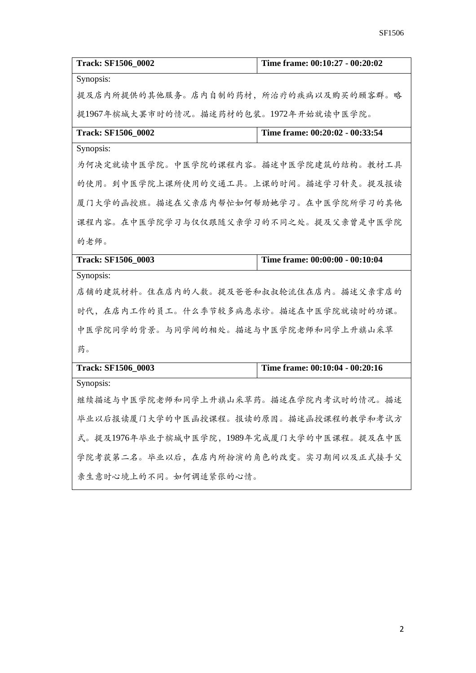| <b>Track: SF1506 0002</b>                 | Time frame: 00:10:27 - 00:20:02 |
|-------------------------------------------|---------------------------------|
| Synopsis:                                 |                                 |
| 提及店内所提供的其他服务。店内自制的药材,所治疗的疾病以及购买的顾客群。略     |                                 |
| 提1967年槟城大罢市时的情况。描述药材的包装。1972年开始就读中医学院。    |                                 |
| <b>Track: SF1506_0002</b>                 | Time frame: 00:20:02 - 00:33:54 |
| Synopsis:                                 |                                 |
| 为何决定就读中医学院。中医学院的课程内容。描述中医学院建筑的结构。教材工具     |                                 |
| 的使用。到中医学院上课所使用的交通工具。上课的时间。描述学习针灸。提及报读     |                                 |
| 厦门大学的函授班。描述在父亲店内帮忙如何帮助她学习。在中医学院所学习的其他     |                                 |
| 课程内容。在中医学院学习与仅仅跟随父亲学习的不同之处。提及父亲曾是中医学院     |                                 |
| 的老师。                                      |                                 |
| <b>Track: SF1506 0003</b>                 | Time frame: 00:00:00 - 00:10:04 |
| Synopsis:                                 |                                 |
| 店铺的建筑材料。住在店内的人数。提及爸爸和叔叔轮流住在店内。描述父亲掌店的     |                                 |
| 时代,在店内工作的员工。什么季节较多病患求诊。描述在中医学院就读时的功课。     |                                 |
| 中医学院同学的背景。与同学间的相处。描述与中医学院老师和同学上升旗山采草      |                                 |
| 药。                                        |                                 |
| <b>Track: SF1506 0003</b>                 | Time frame: 00:10:04 - 00:20:16 |
| Synopsis:                                 |                                 |
| 继续描述与中医学院老师和同学上升旗山采草药。描述在学院内考试时的情况。描述     |                                 |
| 毕业以后报读厦门大学的中医函授课程。报读的原因。描述函授课程的教学和考试方     |                                 |
| 式。提及1976年毕业于槟城中医学院,1989年完成厦门大学的中医课程。提及在中医 |                                 |
| 学院考获第二名。毕业以后,在店内所扮演的角色的改变。实习期间以及正式接手父     |                                 |
| 亲生意时心境上的不同。如何调适紧张的心情。                     |                                 |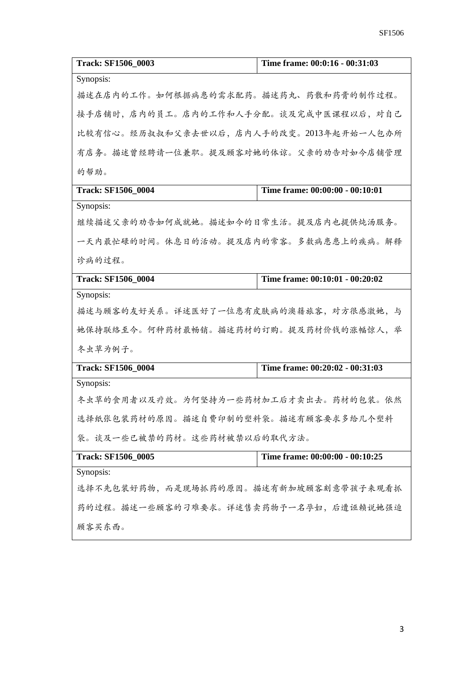| <b>Track: SF1506_0003</b>               | Time frame: 00:0:16 - 00:31:03  |
|-----------------------------------------|---------------------------------|
| Synopsis:                               |                                 |
| 描述在店内的工作。如何根据病患的需求配药。描述药丸、药散和药膏的制作过程。   |                                 |
| 接手店铺时,店内的员工。店内的工作和人手分配。谈及完成中医课程以后,对自己   |                                 |
| 比较有信心。经历叔叔和父亲去世以后,店内人手的改变。2013年起开始一人包办所 |                                 |
| 有店务。描述曾经聘请一位兼职。提及顾客对她的体谅。父亲的劝告对如今店铺管理   |                                 |
| 的帮助。                                    |                                 |
| <b>Track: SF1506_0004</b>               | Time frame: 00:00:00 - 00:10:01 |
| Synopsis:                               |                                 |
| 继续描述父亲的劝告如何成就她。描述如今的日常生活。提及店内也提供炖汤服务。   |                                 |
| 一天内最忙碌的时间。休息日的活动。提及店内的常客。多数病患患上的疾病。解释   |                                 |
| 诊病的过程。                                  |                                 |
| <b>Track: SF1506 0004</b>               | Time frame: 00:10:01 - 00:20:02 |
| Synopsis:                               |                                 |
| 描述与顾客的友好关系。详述医好了一位患有皮肤病的澳籍旅客,对方很感激她,与   |                                 |
| 她保持联络至今。何种药材最畅销。描述药材的订购。提及药材价钱的涨幅惊人,举   |                                 |
| 冬虫草为例子。                                 |                                 |
| <b>Track: SF1506 0004</b>               | Time frame: 00:20:02 - 00:31:03 |
| Synopsis:                               |                                 |
| 冬虫草的食用者以及疗效。为何坚持为一些药材加工后才卖出去。药材的包装。依然   |                                 |
| 选择纸张包装药材的原因。描述自费印制的塑料袋。描述有顾客要求多给几个塑料    |                                 |
| 袋。谈及一些已被禁的药材。这些药材被禁以后的取代方法。             |                                 |
| <b>Track: SF1506_0005</b>               | Time frame: 00:00:00 - 00:10:25 |
| Synopsis:                               |                                 |
| 选择不先包装好药物,而是现场抓药的原因。描述有新加坡顾客刻意带孩子来观看抓   |                                 |
| 药的过程。描述一些顾客的刁难要求。详述售卖药物予一名孕妇,后遭诬赖说她强迫   |                                 |
| 顾客买东西。                                  |                                 |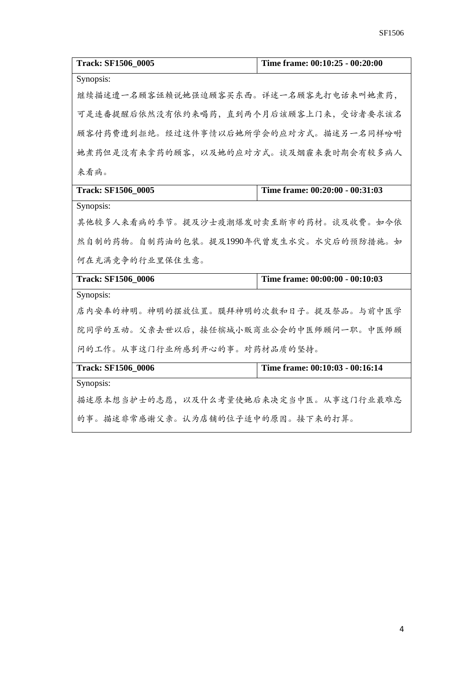| <b>Track: SF1506 0005</b>               | Time frame: 00:10:25 - 00:20:00 |
|-----------------------------------------|---------------------------------|
| Synopsis:                               |                                 |
| 继续描述遭一名顾客诬赖说她强迫顾客买东西。详述一名顾客先打电话来叫她煮药,   |                                 |
| 可是连番提醒后依然没有依约来喝药,直到两个月后该顾客上门来,受访者要求该名   |                                 |
| 顾客付药费遭到拒绝。经过这件事情以后她所学会的应对方式。描述另一名同样吩咐   |                                 |
| 她煮药但是没有来拿药的顾客,以及她的应对方式。谈及烟霾来袭时期会有较多病人   |                                 |
| 来看病。                                    |                                 |
| <b>Track: SF1506 0005</b>               | Time frame: 00:20:00 - 00:31:03 |
| Synopsis:                               |                                 |
| 其他较多人来看病的季节。提及沙士疫潮爆发时卖至断市的药材。谈及收费。如今依   |                                 |
| 然自制的药物。自制药油的包装。提及1990年代曾发生水灾。水灾后的预防措施。如 |                                 |
| 何在充满竞争的行业里保住生意。                         |                                 |
| <b>Track: SF1506_0006</b>               | Time frame: 00:00:00 - 00:10:03 |
| Synopsis:                               |                                 |
| 店内安奉的神明。神明的摆放位置。膜拜神明的次数和日子。提及祭品。与前中医学   |                                 |
| 院同学的互动。父亲去世以后,接任槟城小贩商业公会的中医师顾问一职。中医师顾   |                                 |
| 问的工作。从事这门行业所感到开心的事。对药材品质的坚持。            |                                 |
| <b>Track: SF1506_0006</b>               | Time frame: 00:10:03 - 00:16:14 |
| Synopsis:                               |                                 |
| 描述原本想当护士的志愿,以及什么考量使她后来决定当中医。从事这门行业最难忘   |                                 |
| 的事。描述非常感谢父亲。认为店铺的位子适中的原因。接下来的打算。        |                                 |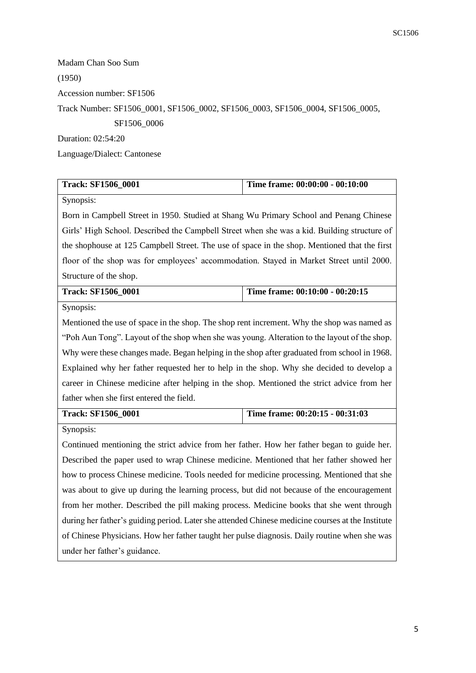Madam Chan Soo Sum (1950) Accession number: SF1506 Track Number: SF1506\_0001, SF1506\_0002, SF1506\_0003, SF1506\_0004, SF1506\_0005, SF1506\_0006 Duration: 02:54:20

Language/Dialect: Cantonese

| Track: SF1506_0001                                                                               | Time frame: 00:00:00 - 00:10:00                                                             |  |
|--------------------------------------------------------------------------------------------------|---------------------------------------------------------------------------------------------|--|
| Synopsis:                                                                                        |                                                                                             |  |
| Born in Campbell Street in 1950. Studied at Shang Wu Primary School and Penang Chinese           |                                                                                             |  |
|                                                                                                  | Girls' High School. Described the Campbell Street when she was a kid. Building structure of |  |
| the shophouse at 125 Campbell Street. The use of space in the shop. Mentioned that the first     |                                                                                             |  |
| floor of the shop was for employees' accommodation. Stayed in Market Street until 2000.          |                                                                                             |  |
| Structure of the shop.                                                                           |                                                                                             |  |
| <b>Track: SF1506_0001</b>                                                                        | Time frame: 00:10:00 - 00:20:15                                                             |  |
| Synopsis:                                                                                        |                                                                                             |  |
| Mentioned the use of space in the shop. The shop rent increment. Why the shop was named as       |                                                                                             |  |
| "Poh Aun Tong". Layout of the shop when she was young. Alteration to the layout of the shop.     |                                                                                             |  |
| Why were these changes made. Began helping in the shop after graduated from school in 1968.      |                                                                                             |  |
| Explained why her father requested her to help in the shop. Why she decided to develop a         |                                                                                             |  |
| career in Chinese medicine after helping in the shop. Mentioned the strict advice from her       |                                                                                             |  |
| father when she first entered the field.                                                         |                                                                                             |  |
| <b>Track: SF1506_0001</b>                                                                        | Time frame: 00:20:15 - 00:31:03                                                             |  |
| Synopsis:                                                                                        |                                                                                             |  |
| Continued mentioning the strict advice from her father. How her father began to guide her.       |                                                                                             |  |
| Described the paper used to wrap Chinese medicine. Mentioned that her father showed her          |                                                                                             |  |
| how to process Chinese medicine. Tools needed for medicine processing. Mentioned that she        |                                                                                             |  |
| was about to give up during the learning process, but did not because of the encouragement       |                                                                                             |  |
| from her mother. Described the pill making process. Medicine books that she went through         |                                                                                             |  |
| during her father's guiding period. Later she attended Chinese medicine courses at the Institute |                                                                                             |  |
| of Chinese Physicians. How her father taught her pulse diagnosis. Daily routine when she was     |                                                                                             |  |

under her father's guidance.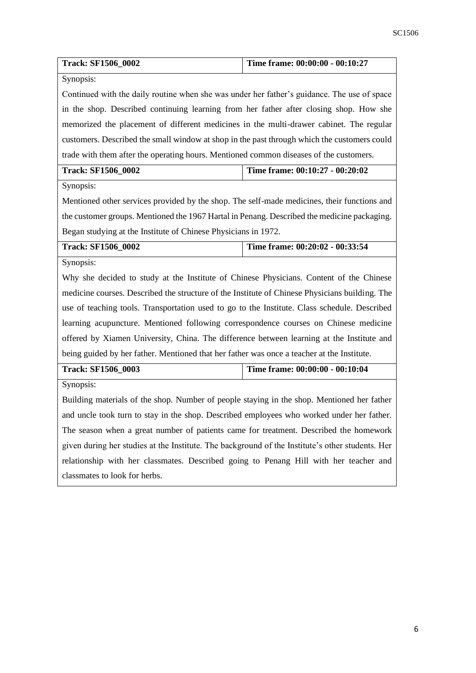| <b>Track: SF1506_0002</b>                                                                        | Time frame: 00:00:00 - 00:10:27                                                        |  |
|--------------------------------------------------------------------------------------------------|----------------------------------------------------------------------------------------|--|
| Synopsis:                                                                                        |                                                                                        |  |
| Continued with the daily routine when she was under her father's guidance. The use of space      |                                                                                        |  |
| in the shop. Described continuing learning from her father after closing shop. How she           |                                                                                        |  |
| memorized the placement of different medicines in the multi-drawer cabinet. The regular          |                                                                                        |  |
| customers. Described the small window at shop in the past through which the customers could      |                                                                                        |  |
|                                                                                                  | trade with them after the operating hours. Mentioned common diseases of the customers. |  |
| <b>Track: SF1506_0002</b><br>Time frame: 00:10:27 - 00:20:02                                     |                                                                                        |  |
| Synopsis:                                                                                        |                                                                                        |  |
| Mentioned other services provided by the shop. The self-made medicines, their functions and      |                                                                                        |  |
| the customer groups. Mentioned the 1967 Hartal in Penang. Described the medicine packaging.      |                                                                                        |  |
| Began studying at the Institute of Chinese Physicians in 1972.                                   |                                                                                        |  |
| <b>Track: SF1506_0002</b>                                                                        | Time frame: 00:20:02 - 00:33:54                                                        |  |
| Synopsis:                                                                                        |                                                                                        |  |
| Why she decided to study at the Institute of Chinese Physicians. Content of the Chinese          |                                                                                        |  |
| medicine courses. Described the structure of the Institute of Chinese Physicians building. The   |                                                                                        |  |
| use of teaching tools. Transportation used to go to the Institute. Class schedule. Described     |                                                                                        |  |
| learning acupuncture. Mentioned following correspondence courses on Chinese medicine             |                                                                                        |  |
| offered by Xiamen University, China. The difference between learning at the Institute and        |                                                                                        |  |
| being guided by her father. Mentioned that her father was once a teacher at the Institute.       |                                                                                        |  |
| <b>Track: SF1506_0003</b>                                                                        | Time frame: 00:00:00 - 00:10:04                                                        |  |
| Synopsis:                                                                                        |                                                                                        |  |
| Building materials of the shop. Number of people staying in the shop. Mentioned her father       |                                                                                        |  |
| and uncle took turn to stay in the shop. Described employees who worked under her father.        |                                                                                        |  |
| The season when a great number of patients came for treatment. Described the homework            |                                                                                        |  |
| given during her studies at the Institute. The background of the Institute's other students. Her |                                                                                        |  |
| relationship with her classmates. Described going to Penang Hill with her teacher and            |                                                                                        |  |
| classmates to look for herbs.                                                                    |                                                                                        |  |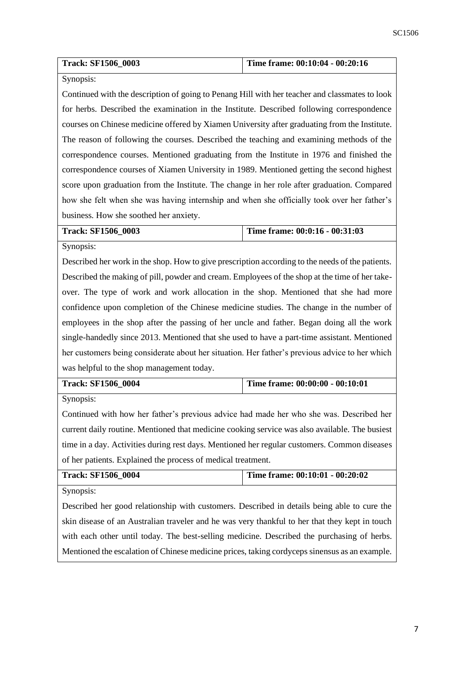| <b>Track: SF1506 0003</b> | Time frame: 00:10:04 - 00:20:16 |  |
|---------------------------|---------------------------------|--|
|                           |                                 |  |

## Synopsis:

Continued with the description of going to Penang Hill with her teacher and classmates to look for herbs. Described the examination in the Institute. Described following correspondence courses on Chinese medicine offered by Xiamen University after graduating from the Institute. The reason of following the courses. Described the teaching and examining methods of the correspondence courses. Mentioned graduating from the Institute in 1976 and finished the correspondence courses of Xiamen University in 1989. Mentioned getting the second highest score upon graduation from the Institute. The change in her role after graduation. Compared how she felt when she was having internship and when she officially took over her father's business. How she soothed her anxiety.

**Track: SF1506\_0003 Time frame: 00:0:16 - 00:31:03**

Synopsis:

Described her work in the shop. How to give prescription according to the needs of the patients. Described the making of pill, powder and cream. Employees of the shop at the time of her takeover. The type of work and work allocation in the shop. Mentioned that she had more confidence upon completion of the Chinese medicine studies. The change in the number of employees in the shop after the passing of her uncle and father. Began doing all the work single-handedly since 2013. Mentioned that she used to have a part-time assistant. Mentioned her customers being considerate about her situation. Her father's previous advice to her which was helpful to the shop management today.

| <b>Track: SF1506 0004</b> | Time frame: $00:00:00 - 00:10:01$ |
|---------------------------|-----------------------------------|
|                           |                                   |

Synopsis:

Continued with how her father's previous advice had made her who she was. Described her current daily routine. Mentioned that medicine cooking service was also available. The busiest time in a day. Activities during rest days. Mentioned her regular customers. Common diseases of her patients. Explained the process of medical treatment.

| <b>Track: SF1506 0004</b> | Time frame: 00:10:01 - 00:20:02 |
|---------------------------|---------------------------------|
| Companies                 |                                 |

Synopsis:

Described her good relationship with customers. Described in details being able to cure the skin disease of an Australian traveler and he was very thankful to her that they kept in touch with each other until today. The best-selling medicine. Described the purchasing of herbs. Mentioned the escalation of Chinese medicine prices, taking cordyceps sinensus as an example.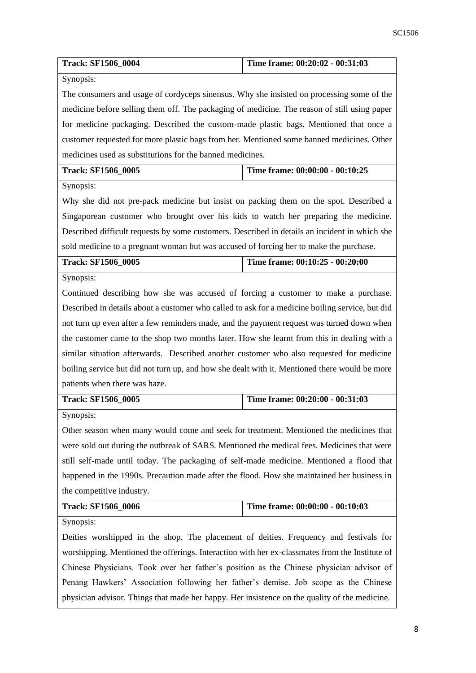| <b>Track: SF1506_0004</b>                                                                       | Time frame: 00:20:02 - 00:31:03 |  |
|-------------------------------------------------------------------------------------------------|---------------------------------|--|
| Synopsis:                                                                                       |                                 |  |
| The consumers and usage of cordyceps sinensus. Why she insisted on processing some of the       |                                 |  |
| medicine before selling them off. The packaging of medicine. The reason of still using paper    |                                 |  |
| for medicine packaging. Described the custom-made plastic bags. Mentioned that once a           |                                 |  |
| customer requested for more plastic bags from her. Mentioned some banned medicines. Other       |                                 |  |
| medicines used as substitutions for the banned medicines.                                       |                                 |  |
| <b>Track: SF1506_0005</b>                                                                       | Time frame: 00:00:00 - 00:10:25 |  |
| Synopsis:                                                                                       |                                 |  |
| Why she did not pre-pack medicine but insist on packing them on the spot. Described a           |                                 |  |
| Singaporean customer who brought over his kids to watch her preparing the medicine.             |                                 |  |
| Described difficult requests by some customers. Described in details an incident in which she   |                                 |  |
| sold medicine to a pregnant woman but was accused of forcing her to make the purchase.          |                                 |  |
| Track: SF1506_0005                                                                              | Time frame: 00:10:25 - 00:20:00 |  |
| Synopsis:                                                                                       |                                 |  |
| Continued describing how she was accused of forcing a customer to make a purchase.              |                                 |  |
| Described in details about a customer who called to ask for a medicine boiling service, but did |                                 |  |
| not turn up even after a few reminders made, and the payment request was turned down when       |                                 |  |
| the customer came to the shop two months later. How she learnt from this in dealing with a      |                                 |  |
| similar situation afterwards. Described another customer who also requested for medicine        |                                 |  |
| boiling service but did not turn up, and how she dealt with it. Mentioned there would be more   |                                 |  |
| patients when there was haze.                                                                   |                                 |  |
| <b>Track: SF1506_0005</b>                                                                       | Time frame: 00:20:00 - 00:31:03 |  |
| Synopsis:                                                                                       |                                 |  |
| Other season when many would come and seek for treatment. Mentioned the medicines that          |                                 |  |
| were sold out during the outbreak of SARS. Mentioned the medical fees. Medicines that were      |                                 |  |
| still self-made until today. The packaging of self-made medicine. Mentioned a flood that        |                                 |  |
| happened in the 1990s. Precaution made after the flood. How she maintained her business in      |                                 |  |
| the competitive industry.                                                                       |                                 |  |
| <b>Track: SF1506_0006</b>                                                                       | Time frame: 00:00:00 - 00:10:03 |  |
| Synopsis:                                                                                       |                                 |  |
| Deities worshipped in the shop. The placement of deities. Frequency and festivals for           |                                 |  |
| worshipping. Mentioned the offerings. Interaction with her ex-classmates from the Institute of  |                                 |  |
| Chinese Physicians. Took over her father's position as the Chinese physician advisor of         |                                 |  |
| Penang Hawkers' Association following her father's demise. Job scope as the Chinese             |                                 |  |
| physician advisor. Things that made her happy. Her insistence on the quality of the medicine.   |                                 |  |